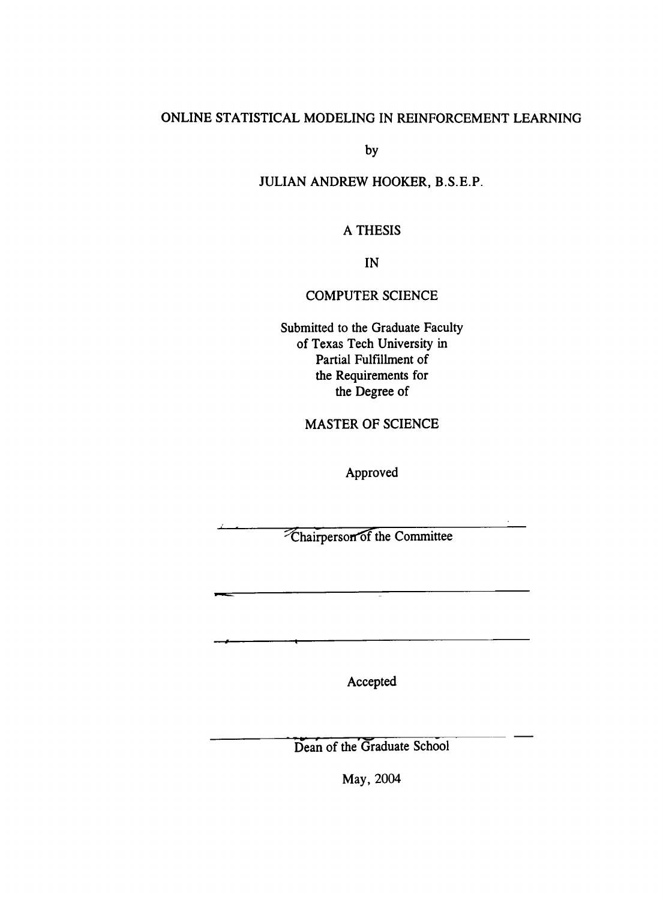### ONLINE STATISTICAL MODELING IN REINFORCEMENT LEARNING

by

#### JULIAN ANDREW HOOKER, B.S.E.P.

#### A THESIS

IN

### COMPUTER SCIENCE

Submitted to the Graduate Faculty of Texas Tech University in Partial Fulfillment of the Requirements for the Degree of

### **MASTER OF SCIENCE**

Approved Approved

<sup>*T***</sup>Chairperson of the Committee**</sup>

Accepted

Dean of the Graduate School

May, 2004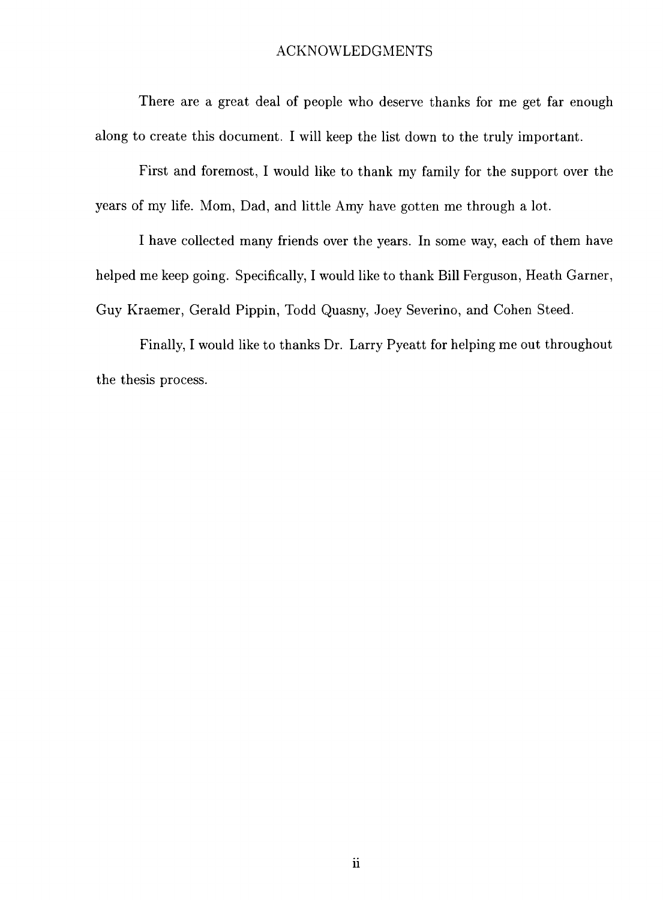### ACKNOWLEDGMENTS

There are a great deal of people who deserve thanks for me get far enough along to create this document. I will keep the list down to the truly important.

First and foremost, I would like to thank my family for the support over the years of my life. Mom, Dad, and little Amy have gotten me through a lot.

I have collected many friends over the years. In some way, each of them have helped me keep going. Specifically, I would like to thank Bill Ferguson, Heath Garner, Guy Kraemer, Gerald Pippin, Todd Quasny, Joey Severino, and Cohen Steed.

Finally, I would like to thanks Dr. Larry Pyeatt for helping me out throughout the thesis process.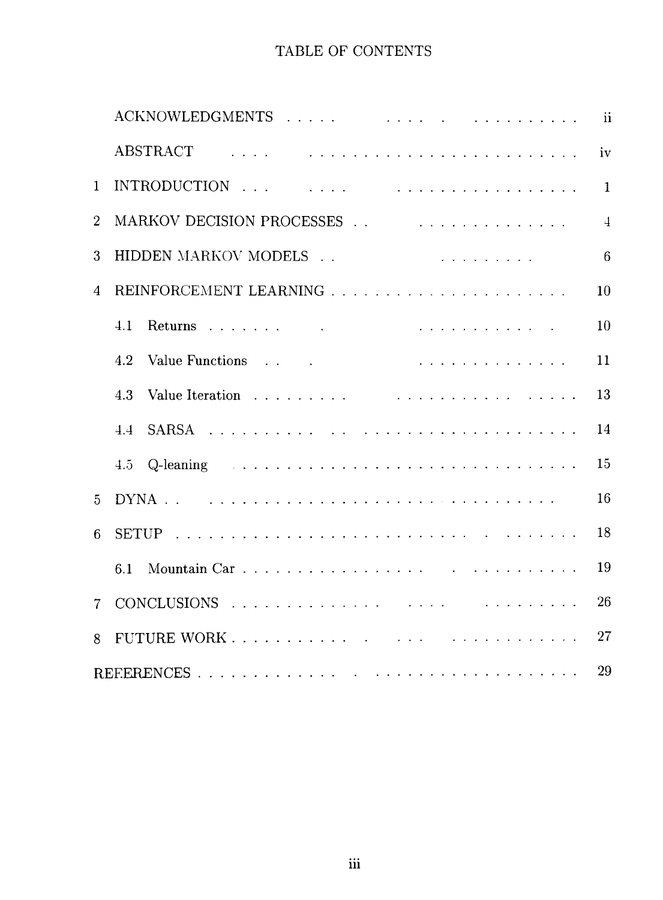# TABLE OF CONTENTS

|                |                                                                                                                                                                                                                                       | $\mathbf{ii}$  |  |  |  |
|----------------|---------------------------------------------------------------------------------------------------------------------------------------------------------------------------------------------------------------------------------------|----------------|--|--|--|
|                | .<br>The contract of the contract of the contract of the contract of the contract of the contract of the contract of<br><b>ABSTRACT</b>                                                                                               | iv             |  |  |  |
| $\mathbf{1}$   |                                                                                                                                                                                                                                       | $\mathbf{1}$   |  |  |  |
| $\overline{2}$ |                                                                                                                                                                                                                                       | $\overline{4}$ |  |  |  |
| 3              | HIDDEN MARKOV MODELS<br>$\mathbf{r}$ , and $\mathbf{r}$ , and $\mathbf{r}$ , and $\mathbf{r}$ , and $\mathbf{r}$ , and $\mathbf{r}$                                                                                                   | 6              |  |  |  |
| 4              |                                                                                                                                                                                                                                       | 10             |  |  |  |
|                | 4.1                                                                                                                                                                                                                                   | 10             |  |  |  |
|                | and the second contract of the second contract of the second contract of the second contract of the second second second second second second second second second second second second second second second second second sec<br>4.2 | 11             |  |  |  |
|                | 4.3                                                                                                                                                                                                                                   | 13             |  |  |  |
|                | $4\,4$                                                                                                                                                                                                                                | 14             |  |  |  |
|                | Q-leaning<br>4.5                                                                                                                                                                                                                      | 15             |  |  |  |
| $\overline{5}$ |                                                                                                                                                                                                                                       | 16             |  |  |  |
| 6              |                                                                                                                                                                                                                                       | 18             |  |  |  |
|                | 6.1                                                                                                                                                                                                                                   | 19             |  |  |  |
| 7              |                                                                                                                                                                                                                                       | 26             |  |  |  |
| 8              |                                                                                                                                                                                                                                       | 27             |  |  |  |
| 29             |                                                                                                                                                                                                                                       |                |  |  |  |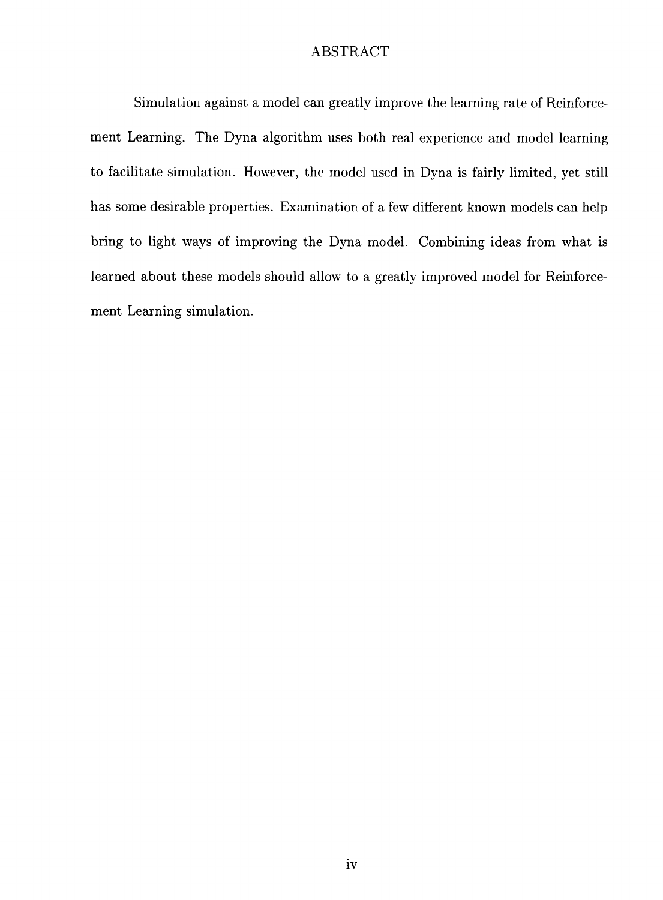### ABSTRACT

Simulation against a model can greatly improve the learning rate of Reinforcement Learning. The Dyna algorithm uses both real experience and model learning to facilitate simulation. However, the model used in Dyna is fairly limited, yet still has some desirable properties. Examination of a few different known models can help bring to light ways of improving the Dyna model. Combining ideas from what is learned about these models should allow to a greatly improved model for Reinforcement Learning simulation.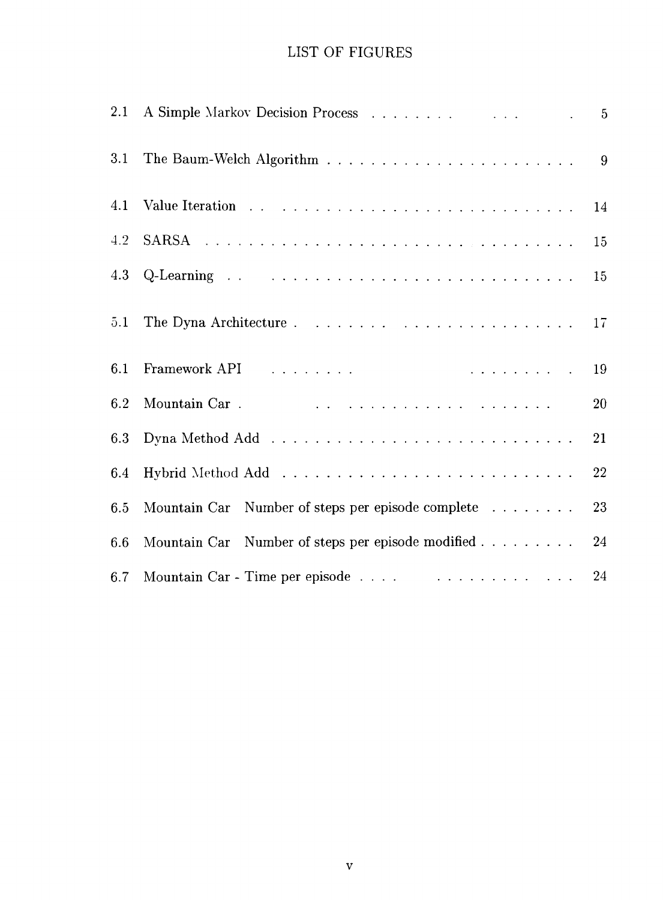# LIST OF FIGURES

| 3.1 |                                                                                                                                                                                                                                |                 |
|-----|--------------------------------------------------------------------------------------------------------------------------------------------------------------------------------------------------------------------------------|-----------------|
| 4.1 |                                                                                                                                                                                                                                | 14              |
| 4.2 |                                                                                                                                                                                                                                | 15              |
|     |                                                                                                                                                                                                                                | 15              |
| 5.1 |                                                                                                                                                                                                                                | 17 <sub>1</sub> |
| 6.1 | Framework API research and the contract of the contract of the contract of the contract of the contract of the contract of the contract of the contract of the contract of the contract of the contract of the contract of the | -19             |
| 6.2 |                                                                                                                                                                                                                                | 20              |
| 6.3 |                                                                                                                                                                                                                                | 21              |
| 6.4 |                                                                                                                                                                                                                                | 22              |
| 6.5 | Mountain Car Number of steps per episode complete                                                                                                                                                                              | 23              |
| 6.6 | Mountain Car Number of steps per episode modified                                                                                                                                                                              | 24              |
| 6.7 |                                                                                                                                                                                                                                | 24              |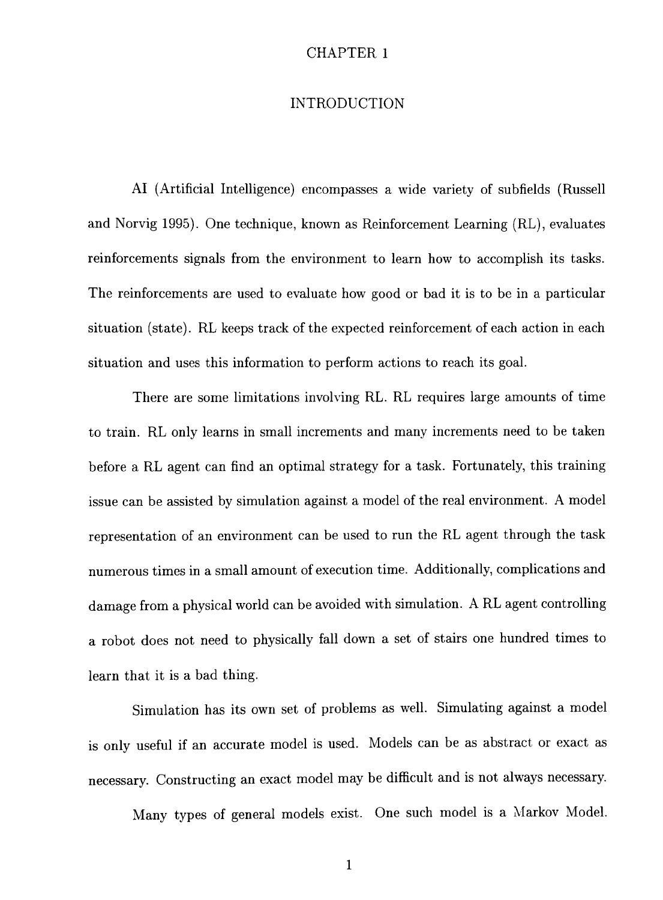### INTRODUCTION

AI (Artificial Intelligence) encompasses a wide variety of subfields (Russell and Norvig 1995). One technique, known as Reinforcement Learning (RL), evaluates reinforcements signals from the environment to learn how to accomplish its tasks. The reinforcements are used to evaluate how good or bad it is to be in a particular situation (state). RL keeps track of the expected reinforcement of each action in each situation and uses this information to perform actions to reach its goal.

There are some limitations involving RL. RL requires large amounts of time to train. RL only learns in small increments and many increments need to be taken before a RL agent can find an optimal strategy for a task. Fortunately, this training issue can be assisted by simulation against a model of the real environment. A model representation of an environment can be used to run the RL agent through the task numerous times in a small amount of execution time. Additionally, complications and damage from a physical world can be avoided with simulation. A RL agent controlling a robot does not need to physically fall down a set of stairs one hundred times to learn that it is a bad thing.

Simulation has its own set of problems as well. Simulating against a model is only useful if an accurate model is used. Models can be as abstract or exact as necessary. Constructing an exact model may be difficult and is not always necessary.

Many types of general models exist. One such model is a Markov Model.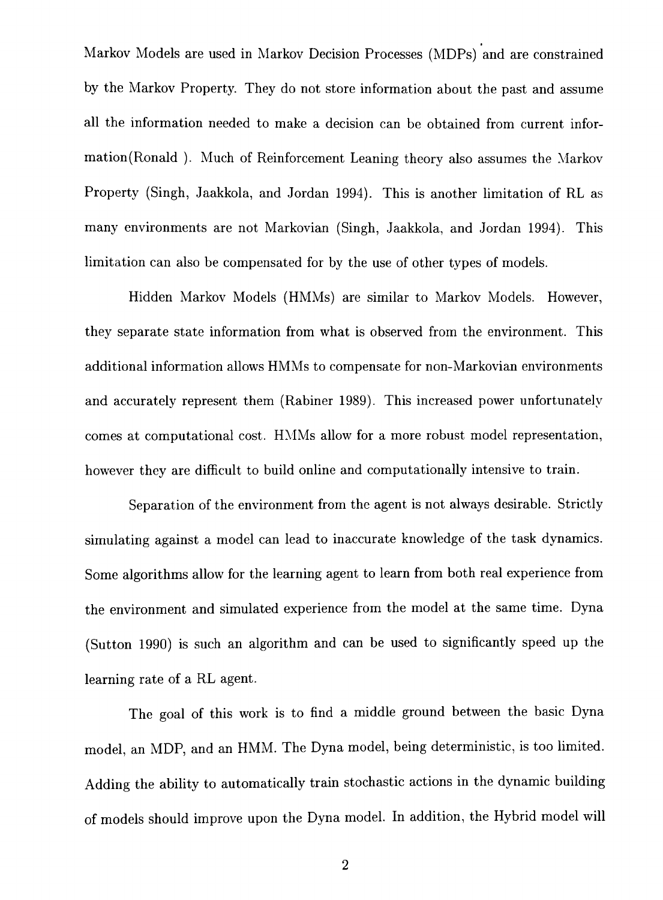Markov Models are used in Markov Decision Processes (MDPs) and are constrained by the Markov Property. They do not store information about the past and assume all the information needed to make a decision can be obtained from current information(Ronald ). Much of Reinforcement Leaning theory also assumes the Markov Property (Singh, Jaakkola, and Jordan 1994). This is another limitation of RL as many environments are not Markovian (Singh, Jaakkola, and Jordan 1994). This limitation can also be compensated for by the use of other types of models.

Hidden Markov Models (HMMs) are similar to Markov Models. However, they separate state information from what is observed from the environment. This additional information aUows HMMs to compensate for non-Markovian environments and accurately represent them (Rabiner 1989). This increased power unfortunately comes at computational cost. HMMs allow for a more robust model representation, however they are difficult to build online and computationally intensive to train.

Separation of the environment from the agent is not always desirable. Strictly simulating against a model can lead to inaccurate knowledge of the task dynamics. Some algorithms allow for the learning agent to learn from both real experience from the environment and simulated experience from the model at the same time. Dyna (Sutton 1990) is such an algorithm and can be used to significantly speed up the learning rate of a RL agent.

The goal of this work is to find a middle ground between the basic Dyna model, an MDP, and an HMM. The Dyna model, being deterministic, is too limited. Adding the ability to automatically train stochastic actions in the dynamic building of models should improve upon the Dyna model. In addition, the Hybrid model will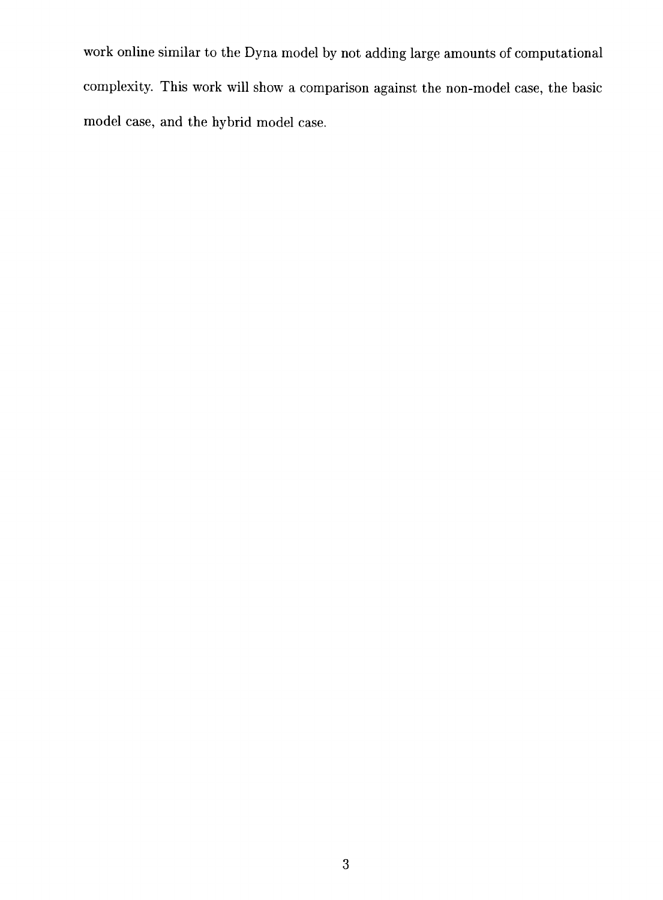work online similar to the Dyna model by not adding large amounts of computational complexity. This work wiU show a comparison against the non-model case, the basic model case, and the hybrid model case.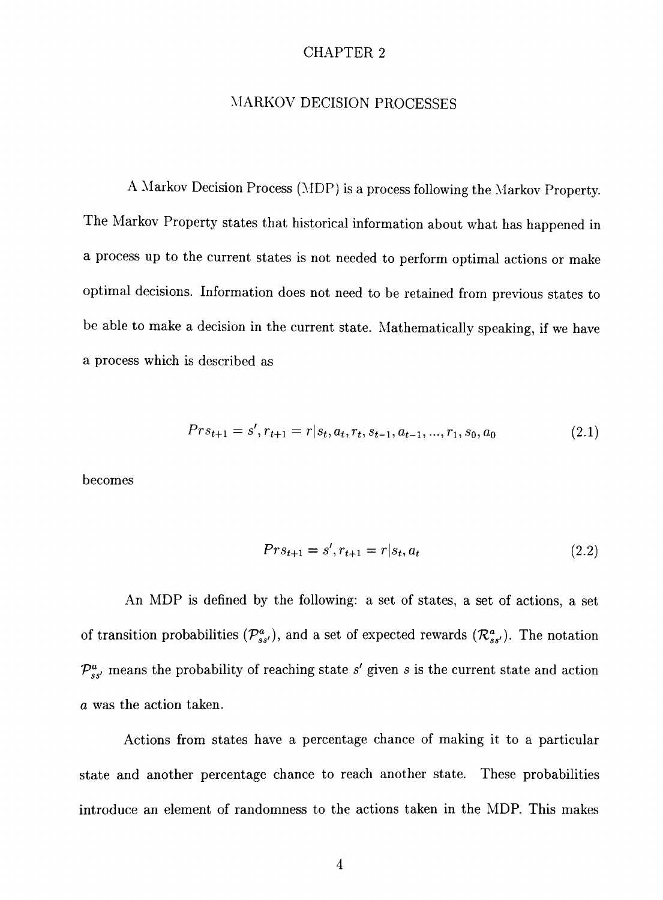### MARKOV DECISION PROCESSES

A Markov Decision Process (MDP) is a process following the Markov Property. The Markov Property states that historical information about what has happened in a process up to the current states is not needed to perform optimal actions or make optimal decisions. Information does not need to be retained from previous states to be able to make a decision in the current state. Mathematically speaking, if we have a process which is described as

$$
Pr s_{t+1} = s', r_{t+1} = r | s_t, a_t, r_t, s_{t-1}, a_{t-1}, \dots, r_1, s_0, a_0 \tag{2.1}
$$

becomes

$$
Pr s_{t+1} = s', r_{t+1} = r | s_t, a_t \tag{2.2}
$$

An MDP is defined by the following: a set of states, a set of actions, a set of transition probabilities  $(\mathcal{P}_{ss'}^a)$ , and a set of expected rewards  $(\mathcal{R}_{ss'}^a)$ . The notation  $\mathcal{P}_{ss'}^a$  means the probability of reaching state s' given s is the current state and action *a* was the action taken.

Actions from states have a percentage chance of making it to a particular state and another percentage chance to reach another state. These probabilities introduce an element of randomness to the actions taken in the MDP. This makes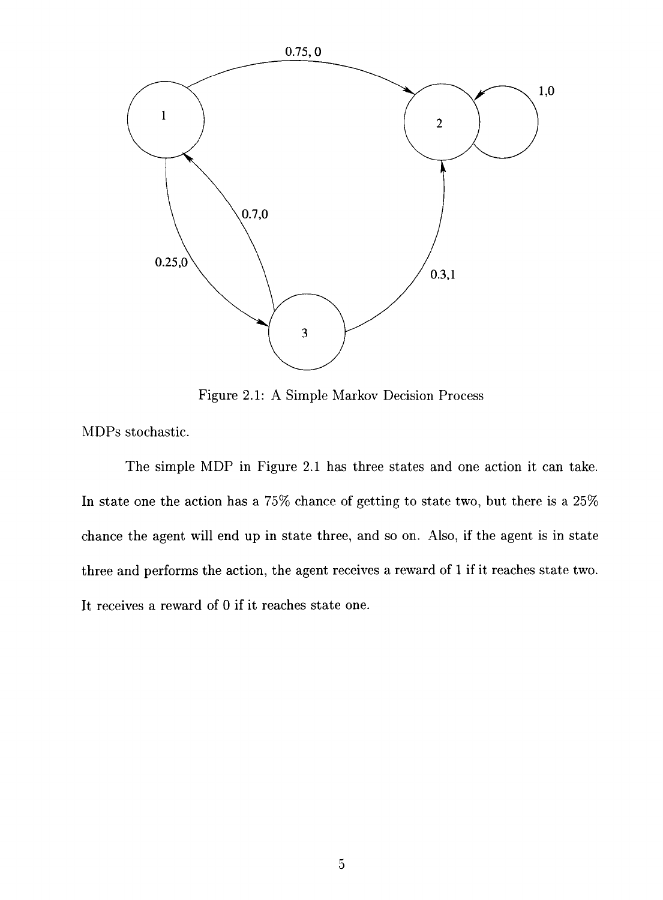

Figure 2.1: A Simple Markov Decision Process

MDPs stochastic.

The simple MDP in Figure 2.1 has three states and one action it can take. In state one the action has a 75% chance of getting to state two, but there is a 25% chance the agent will end up in state three, and so on. Also, if the agent is in state three and performs the action, the agent receives a reward of 1 if it reaches state two. It receives a reward of 0 if it reaches state one.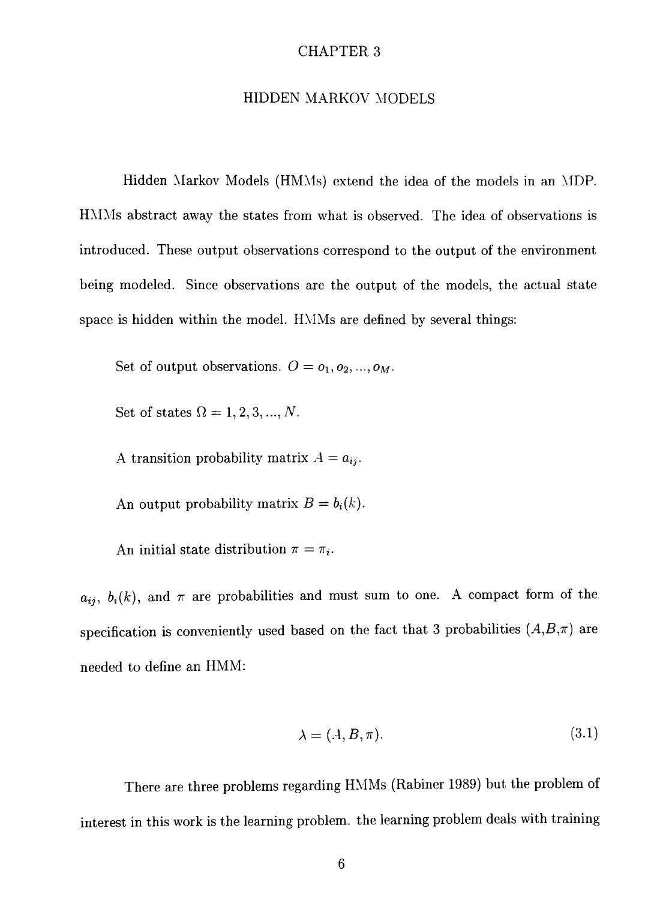### HIDDEN MARKOV MODELS

Hidden Markov Models (HMMs) extend the idea of the models in an MDP. HMMs abstract away the states from what is observed. The idea of observations is introduced. These output observations correspond to the output of the environment being modeled. Since observations are the output of the models, the actual state space is hidden within the model. HMMs are defined by several things:

Set of output observations.  $O = o_1, o_2, ..., o_M$ .

Set of states  $\Omega = 1,2,3,...,N$ .

A transition probability matrix  $A = a_{ij}$ .

An output probability matrix  $B = b_i(k)$ .

An initial state distribution  $\pi = \pi_i$ .

 $a_{ij}$ ,  $b_i(k)$ , and  $\pi$  are probabilities and must sum to one. A compact form of the specification is conveniently used based on the fact that 3 probabilities  $(A,B,\pi)$  are needed to define an HMM:

$$
\lambda = (A, B, \pi). \tag{3.1}
$$

There are three problems regarding HMMs (Rabiner 1989) but the problem of interest in this work is the learning problem, the learning problem deals with training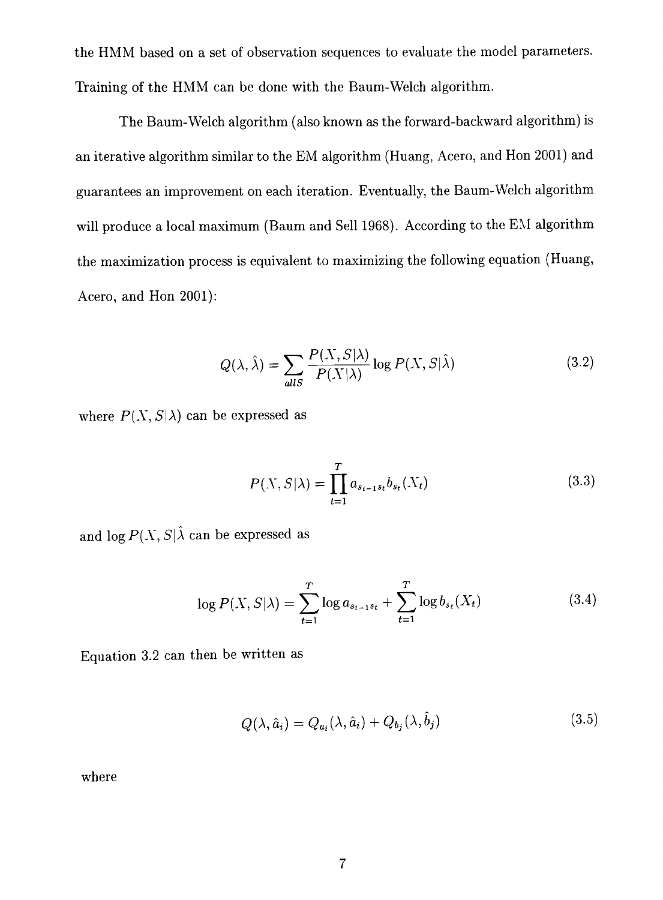the HMM based on a set of observation sequences to evaluate the model parameters. Training of the HMM can be done with the Baum-Welch algorithm.

The Baum-Welch algorithm (also known as the forward-backward algorithm) is an iterative algorithm similar to the EM algorithm (Huang, Acero, and Hon 2001) and guarantees an improvement on each iteration. Eventually, the Baum-Welch algorithm will produce a local maximum (Baum and Sell 1968). According to the EM algorithm the maximization process is equivalent to maximizing the following equation (Huang, Acero, and Hon 2001):

$$
Q(\lambda, \hat{\lambda}) = \sum_{allS} \frac{P(X, S|\lambda)}{P(X|\lambda)} \log P(X, S|\hat{\lambda})
$$
 (3.2)

where  $P(X, S|\lambda)$  can be expressed as

$$
P(X, S | \lambda) = \prod_{t=1}^{T} a_{s_{t-1}s_t} b_{s_t}(X_t)
$$
\n(3.3)

and  $\log P(X, S|\hat{\lambda}$  can be expressed as

$$
\log P(X, S|\lambda) = \sum_{t=1}^{T} \log a_{s_{t-1}s_t} + \sum_{t=1}^{T} \log b_{s_t}(X_t)
$$
\n(3.4)

Equation 3.2 can then be written as

$$
Q(\lambda, \hat{a}_i) = Q_{a_i}(\lambda, \hat{a}_i) + Q_{b_j}(\lambda, b_j)
$$
\n(3.5)

where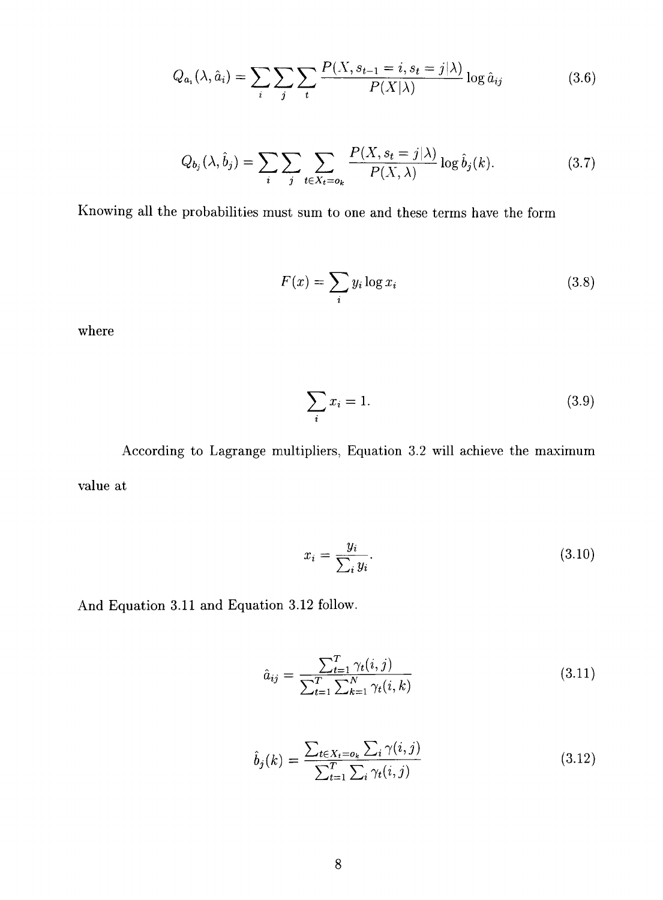$$
Q_{a_i}(\lambda, \hat{a}_i) = \sum_i \sum_j \sum_t \frac{P(X, s_{t-1} = i, s_t = j | \lambda)}{P(X | \lambda)} \log \hat{a}_{ij}
$$
(3.6)

$$
Q_{b_j}(\lambda, \hat{b}_j) = \sum_i \sum_j \sum_{t \in X_t = o_k} \frac{P(X, s_t = j | \lambda)}{P(X, \lambda)} \log \hat{b}_j(k).
$$
 (3.7)

Knowing all the probabilities must sum to one and these terms have the form

$$
F(x) = \sum_{i} y_i \log x_i \tag{3.8}
$$

where

$$
\sum_{i} x_i = 1. \tag{3.9}
$$

According to Lagrange multipliers, Equation 3.2 will achieve the maximum value at

$$
x_i = \frac{y_i}{\sum_i y_i}.\tag{3.10}
$$

And Equation 3.11 and Equation 3.12 follow

$$
\hat{a}_{ij} = \frac{\sum_{t=1}^{T} \gamma_t(i,j)}{\sum_{t=1}^{T} \sum_{k=1}^{N} \gamma_t(i,k)} \tag{3.11}
$$

$$
\hat{b}_j(k) = \frac{\sum_{t \in X_t = o_k} \sum_i \gamma(i, j)}{\sum_{t=1}^T \sum_i \gamma_t(i, j)}
$$
\n(3.12)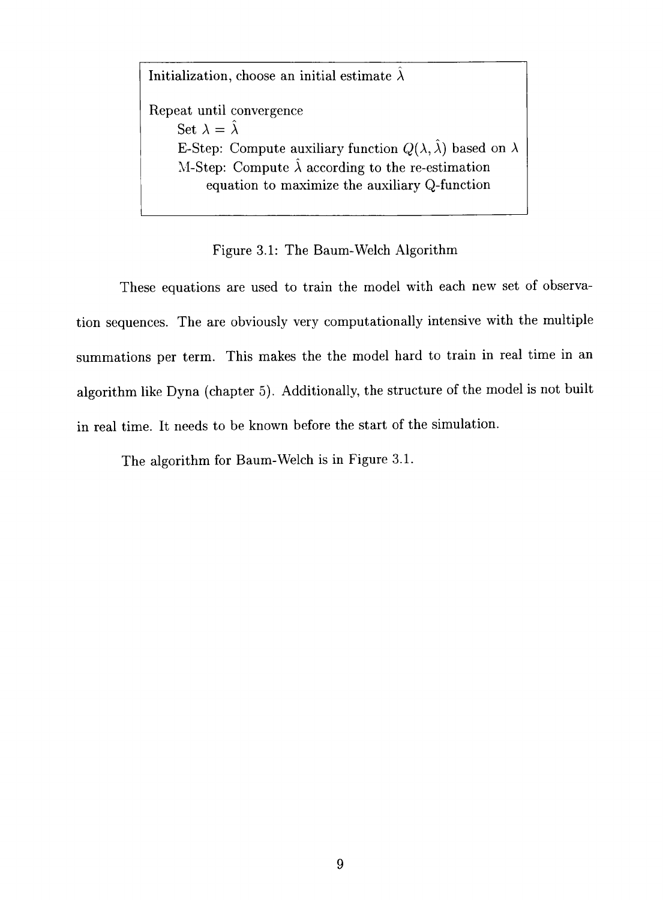Initialization, choose an initial estimate  $\hat{\lambda}$ Repeat until convergence Set  $\lambda = \hat{\lambda}$ E-Step: Compute auxiliary function  $Q(\lambda, \hat{\lambda})$  based on  $\lambda$ M-Step: Compute  $\hat{\lambda}$  according to the re-estimation equation to maximize the auxiliary Q-function

### Figure 3.1: The Baum-Welch Algorithm

These equations are used to train the model with each new set of observation sequences. The are obviously very computationally intensive with the multiple summations per term. This makes the the model hard to train in real time in an algorithm like Dyna (chapter 5). Additionally, the structure of the model is not built in real time. It needs to be known before the start of the simulation.

The algorithm for Baum-Welch is in Figure 3.1.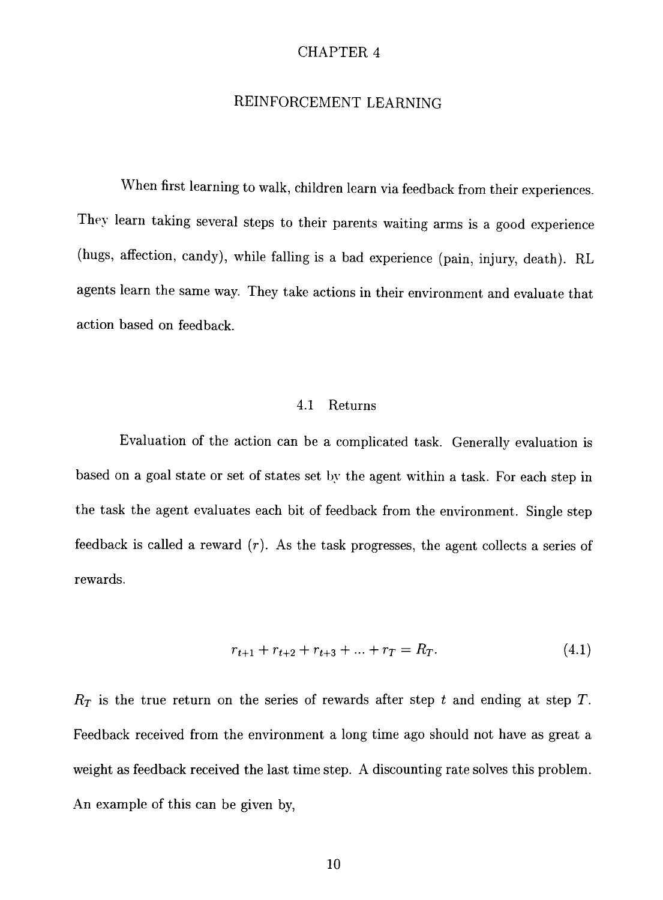#### REINFORCEMENT LEARNING

When first learning to walk, children learn via feedback from their experiences. They learn taking several steps to their parents waiting arms is a good experience (hugs, affection, candy), while falling is a bad experience (pain, injury, death). RL agents learn the same way. They take actions in their environment and evaluate that action based on feedback.

#### 4.1 Returns

Evaluation of the action can be a complicated task. Generally evaluation is based on a goal state or set of states set by the agent within a task. For each step in the task the agent evaluates each bit of feedback from the environment. Single step feedback is called a reward  $(r)$ . As the task progresses, the agent collects a series of rewards.

$$
r_{t+1} + r_{t+2} + r_{t+3} + \dots + r_T = R_T. \tag{4.1}
$$

 $R<sub>T</sub>$  is the true return on the series of rewards after step t and ending at step T. Feedback received from the environment a long time ago should not have as great a weight as feedback received the last time step. A discounting rate solves this problem. An example of this can be given by,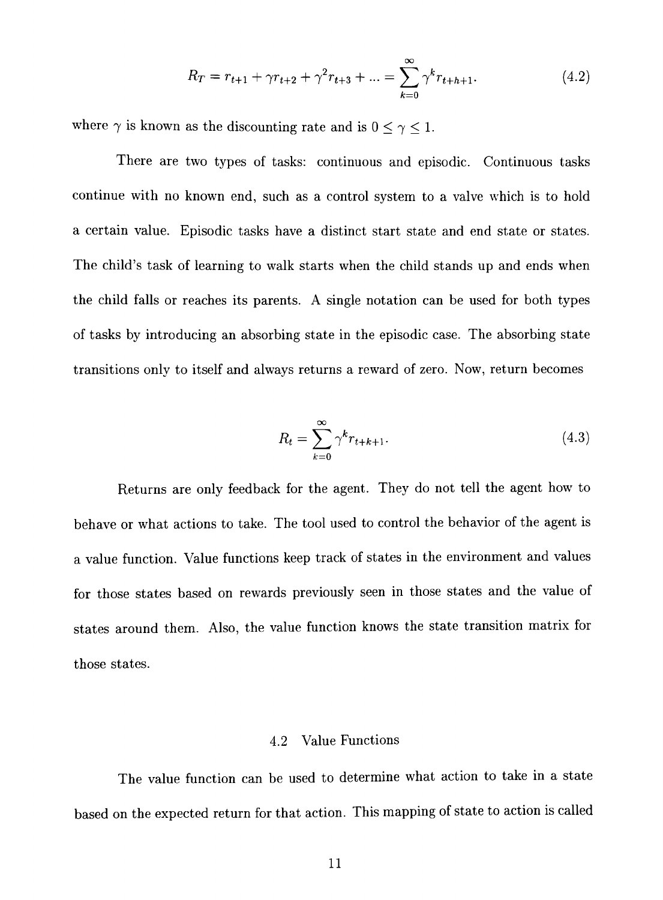$$
R_T = r_{t+1} + \gamma r_{t+2} + \gamma^2 r_{t+3} + \dots = \sum_{k=0}^{\infty} \gamma^k r_{t+k+1}.
$$
 (4.2)

where  $\gamma$  is known as the discounting rate and is  $0\leq \gamma \leq 1.$ 

There are two types of tasks: continuous and episodic. Continuous tasks continue with no known end, such as a control system to a valve which is to hold a certain value. Episodic tasks have a distinct start state and end state or states. The child's task of learning to walk starts when the child stands up and ends when the child falls or reaches its parents. A single notation can be used for both types of tasks by introducing an absorbing state in the episodic case. The absorbing state transitions only to itself and always returns a reward of zero. Now, return becomes

$$
R_t = \sum_{k=0}^{\infty} \gamma^k r_{t+k+1}.
$$
\n(4.3)

Returns are only feedback for the agent. They do not tell the agent how to behave or what actions to take. The tool used to control the behavior of the agent is a value function. Value functions keep track of states in the environment and values for those states based on rewards previously seen in those states and the value of states around them. Also, the value function knows the state transition matrix for those states.

### 4.2 Value Functions

The value function can be used to determine what action to take in a state based on the expected return for that action. This mapping of state to action is called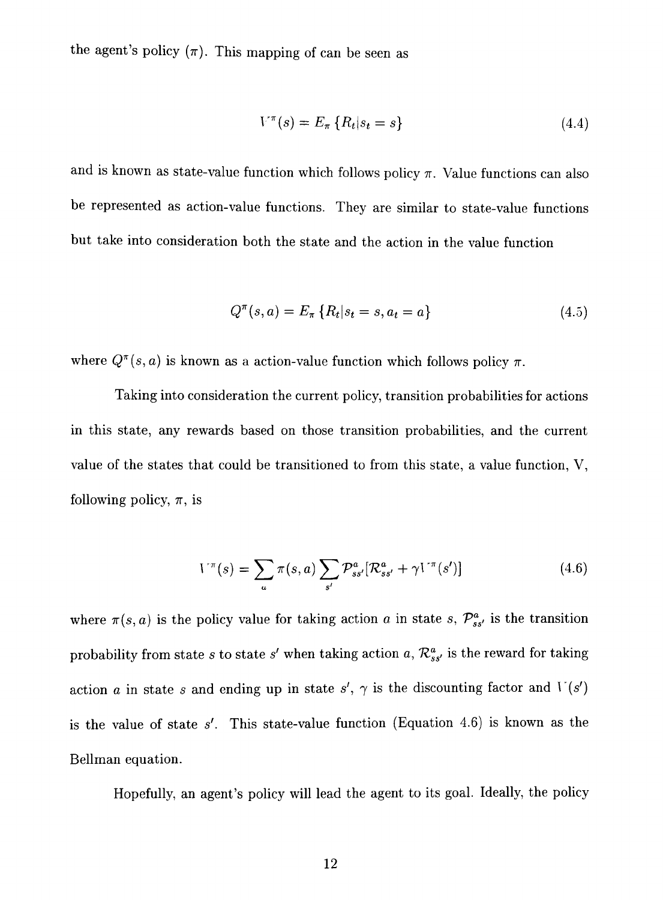the agent's policy  $(\pi)$ . This mapping of can be seen as

$$
V^{\pi}(s) = E_{\pi} \{ R_t | s_t = s \}
$$
 (4.4)

and is known as state-value function which follows policy  $\pi$ . Value functions can also be represented as action-value functions. They are similar to state-value functions but take into consideration both the state and the action in the value function

$$
Q^{\pi}(s, a) = E_{\pi} \{ R_t | s_t = s, a_t = a \}
$$
\n(4.5)

where  $Q^{\pi}(s, a)$  is known as a action-value function which follows policy  $\pi$ .

Taking into consideration the current policy, transition probabilities for actions in this state, any rewards based on those transition probabilities, and the current value of the states that could be transitioned to from this state, a value function, V, following policy,  $\pi$ , is

$$
V^{\pi}(s) = \sum_{a} \pi(s, a) \sum_{s'} \mathcal{P}_{ss'}^{a} [\mathcal{R}_{ss'}^{a} + \gamma V^{\pi}(s')] \qquad (4.6)
$$

where  $\pi(s, a)$  is the policy value for taking action *a* in state *s*,  $\mathcal{P}_{ss'}^a$  is the transition probability from state *s* to state *s'* when taking action *a*,  $\mathcal{R}_{ss'}^a$  is the reward for taking action *a* in state *s* and ending up in state  $s'$ ,  $\gamma$  is the discounting factor and  $V(s')$ is the value of state *s'.* This state-value function (Equation 4.6) is known as the Bellman equation.

Hopefully, an agent's policy will lead the agent to its goal. Ideally, the policy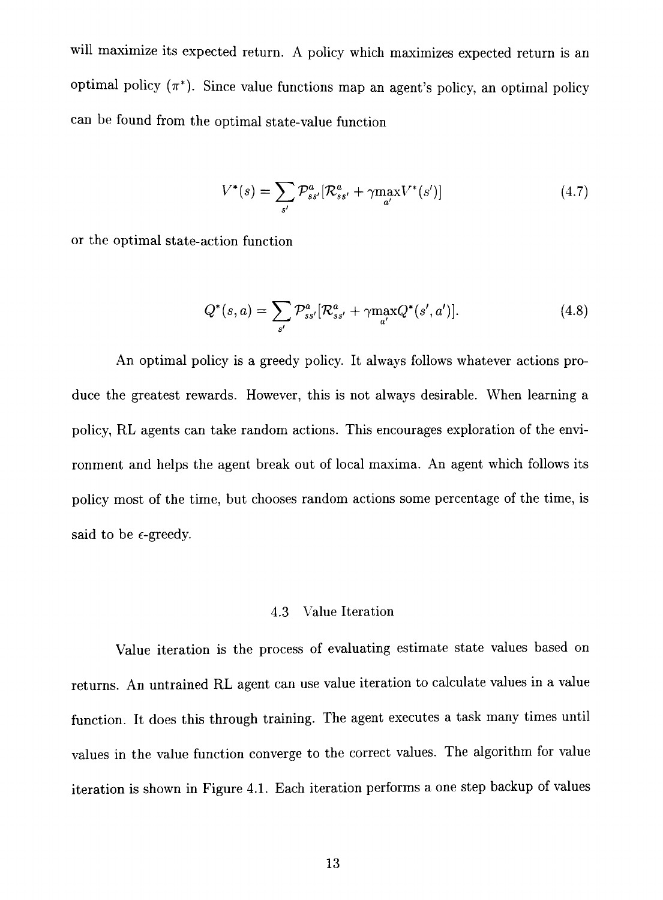will maximize its expected return. A policy which maximizes expected return is an optimal policy  $(\pi^*)$ . Since value functions map an agent's policy, an optimal policy can be found from the optimal state-value function

$$
V^*(s) = \sum_{s'} \mathcal{P}_{ss'}^a [\mathcal{R}_{ss'}^a + \gamma \max_{a'} V^*(s')] \tag{4.7}
$$

or the optimal state-action function

$$
Q^*(s, a) = \sum_{s'} \mathcal{P}_{ss'}^a [\mathcal{R}_{ss'}^a + \gamma \max_{a'} Q^*(s', a')]. \tag{4.8}
$$

An optimal policy is a greedy policy. It always follows whatever actions produce the greatest rewards. However, this is not always desirable. When learning a policy, RL agents can take random actions. This encourages exploration of the environment and helps the agent break out of local maxima. An agent which follows its policy most of the time, but chooses random actions some percentage of the time, is said to be  $\epsilon$ -greedy.

### 4.3 Value Iteration

Value iteration is the process of evaluating estimate state values based on returns. An untrained RL agent can use value iteration to calculate values in a value function. It does this through training. The agent executes a task many times until values in the value function converge to the correct values. The algorithm for value iteration is shown in Figure 4.1. Each iteration performs a one step backup of values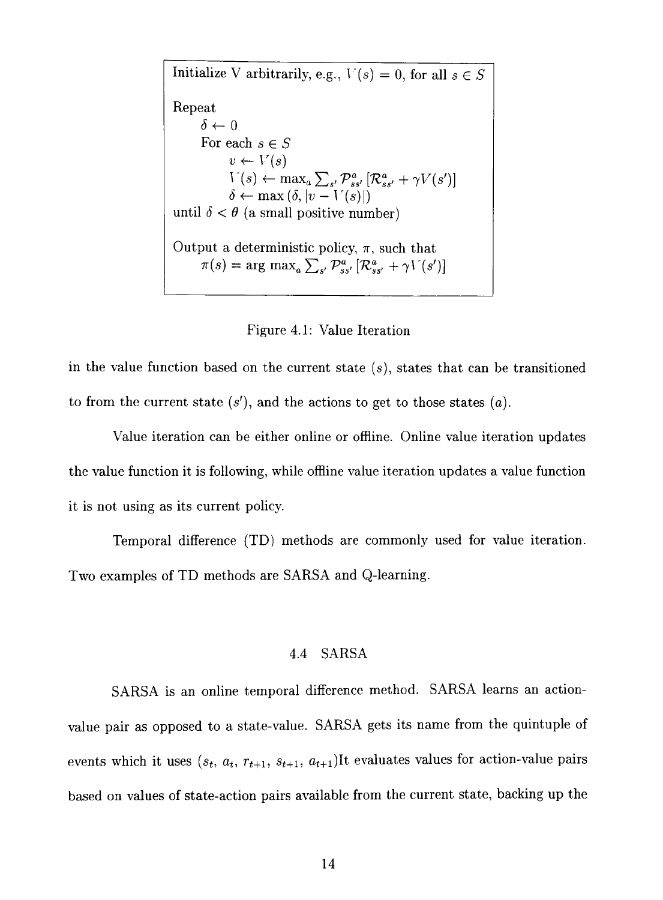Initialize V arbitrarily, e.g.,  $V(s) = 0$ , for all  $s \in S$ Repeat  $\delta \leftarrow 0$ For each  $s \in S$  $v \leftarrow V(s)$  $r(s) \leftarrow \max_{s'} \sum_{s'} \sum_{s''} [\mathcal{K}_{ss'}^* + \gamma V(s')]$  $\delta \leftarrow \max \left( \delta, \left| v-V(s) \right| \right)$ until  $\delta < \theta$  (a small positive number) Output a deterministic policy,  $\pi$ , such that  $\pi(s) = \arg \max_a \sum_{s'} \mathcal{P}^a_{ss'} [\mathcal{R}^a_{ss'} + \gamma V(s')]$ 



in the value function based on the current state  $(s)$ , states that can be transitioned to from the current state (s'), and the actions to get to those states *(a).* 

Value iteration can be either online or offline. Online value iteration updates the value function it is following, while offline value iteration updates a value function it is not using as its current policy.

Temporal difference (TD) methods are commonly used for value iteration. Two examples of TD methods are SARSA and Q-learning.

### 4.4 SARSA

SARSA is an online temporal difference method. SARSA learns an actionvalue pair as opposed to a state-value. SARSA gets its name from the quintuple of events which it uses  $(s_t, a_t, r_{t+1}, s_{t+1}, a_{t+1})$ It evaluates values for action-value pairs based on values of state-action pairs available from the current state, backing up the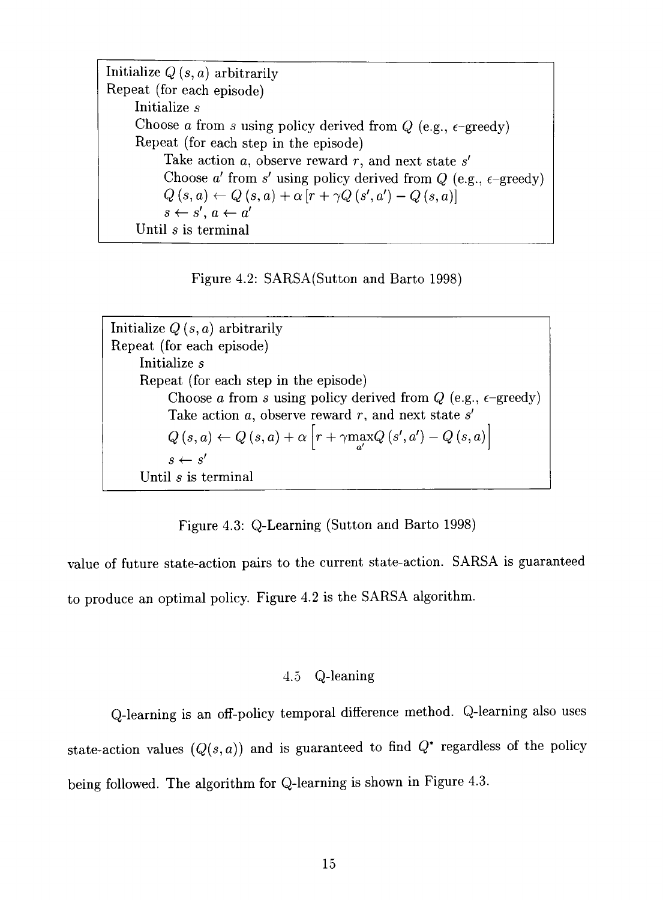Initialize *Q* (s, *a)* arbitrarily Repeat (for each episode) Initialize *s*  Choose *a* from *s* using policy derived from  $Q$  (e.g.,  $\epsilon$ -greedy) Repeat (for each step in the episode) Take action a, observe reward r, and next state *s'*  Choose  $a'$  from  $s'$  using policy derived from  $Q$  (e.g.,  $\epsilon$ -greedy)  $Q\left(s,a\right) \leftarrow Q\left(s,a\right) + \alpha\left[r + \gamma Q\left(s^{\prime},a^{\prime}\right)-Q\left(s,a\right)\right]$  $s \leftarrow s'$ ,  $a \leftarrow a'$ Until *s* is terminal

Figure 4.2: SARSA(Sutton and Barto 1998)

Initialize *Q {s,a)* arbitrarily Repeat (for each episode) Initialize *s*  Repeat (for each step in the episode) Choose *a* from *s* using policy derived from  $Q$  (e.g.,  $\epsilon$ -greedy) Take action *a,* observe reward r, and next state *s'*   $Q(s, a) \leftarrow Q(s, a) + \alpha \left[ r + \gamma \max_{a'} Q(s', a') - Q(s, a) \right]$  $s \leftarrow s'$ Until *s* is terminal

Figure 4.3: Q-Learning (Sutton and Barto 1998)

value of future state-action pairs to the current state-action. SARSA is guaranteed to produce an optimal policy. Figure 4.2 is the SARSA algorithm.

### 4.5 Q-leaning

Q-learning is an off-policy temporal difference method. Q-learning also uses state-action values  $(Q(s, a))$  and is guaranteed to find  $Q^*$  regardless of the policy being followed. The algorithm for Q-learning is shown in Figure 4.3.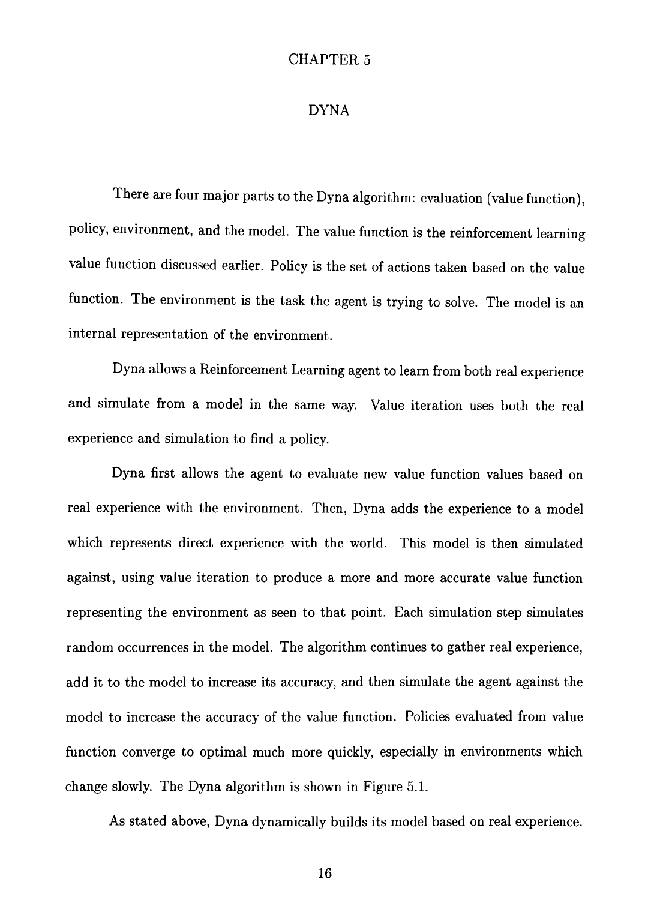#### DYNA

There are four major parts to the Dyna algorithm: evaluation (value function), policy, environment, and the model. The value function is the reinforcement learning value function discussed earlier. Policy is the set of actions taken based on the value function. The environment is the task the agent is trying to solve. The model is an internal representation of the environment.

Dyna allows a Reinforcement Learning agent to learn from both real experience and simulate from a model in the same way. Value iteration uses both the real experience and simulation to find a policy.

Dyna first allows the agent to evaluate new value function values based on real experience with the environment. Then, Dyna adds the experience to a model which represents direct experience with the world. This model is then simulated against, using value iteration to produce a more and more accurate value function representing the environment as seen to that point. Each simulation step simulates random occurrences in the model. The algorithm continues to gather real experience, add it to the model to increase its accuracy, and then simulate the agent against the model to increase the accuracy of the value function. Policies evaluated from value function converge to optimal much more quickly, especially in environments which change slowly. The Dyna algorithm is shown in Figure 5.1.

As stated above, Dyna dynamically builds its model based on real experience.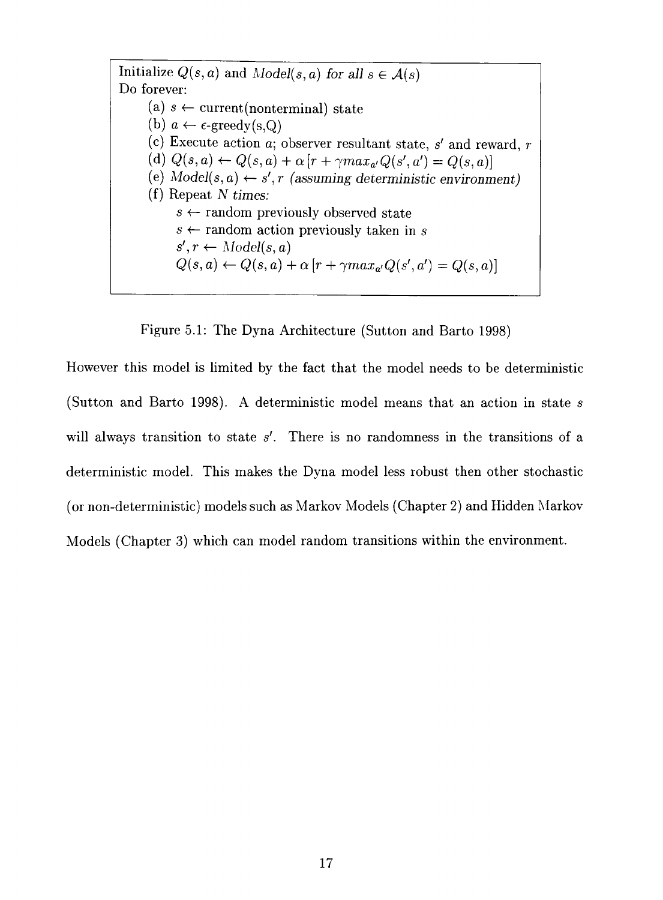Initialize  $Q(s, a)$  and  $Model(s, a)$  for all  $s \in \mathcal{A}(s)$ Do forever: (a)  $s \leftarrow$  current (nonterminal) state (b)  $a \leftarrow \epsilon$ -greedy(s,Q) (c) Execute action  $a$ ; observer resultant state,  $s'$  and reward,  $r'$  $(Q(s, a) \leftarrow Q(s, a) + \alpha [r + \gamma max_{a'}Q(s', a') = Q(s, a)]$ (e)  $Model(s, a) \leftarrow s', r$  (assuming deterministic environment) (f) Repeat *N times:*   $s \leftarrow$  random previously observed state *s <—* random action previously taken in *s*   $s', r \leftarrow Model(s, a)$  $Q(s, a) \leftarrow Q(s, a) + \alpha [r + \gamma max_{a'} Q(s', a') = Q(s, a)]$ 

Figure 5.1: The Dyna Architecture (Sutton and Barto 1998)

However this model is limited by the fact that the model needs to be deterministic (Sutton and Barto 1998). A deterministic model means that an action in state *s*  will always transition to state s'. There is no randomness in the transitions of a deterministic model. This makes the Dyna model less robust then other stochastic (or non-deterministic) models such as Markov Models (Chapter 2) and Hidden Markov Models (Chapter 3) which can model random transitions within the environment.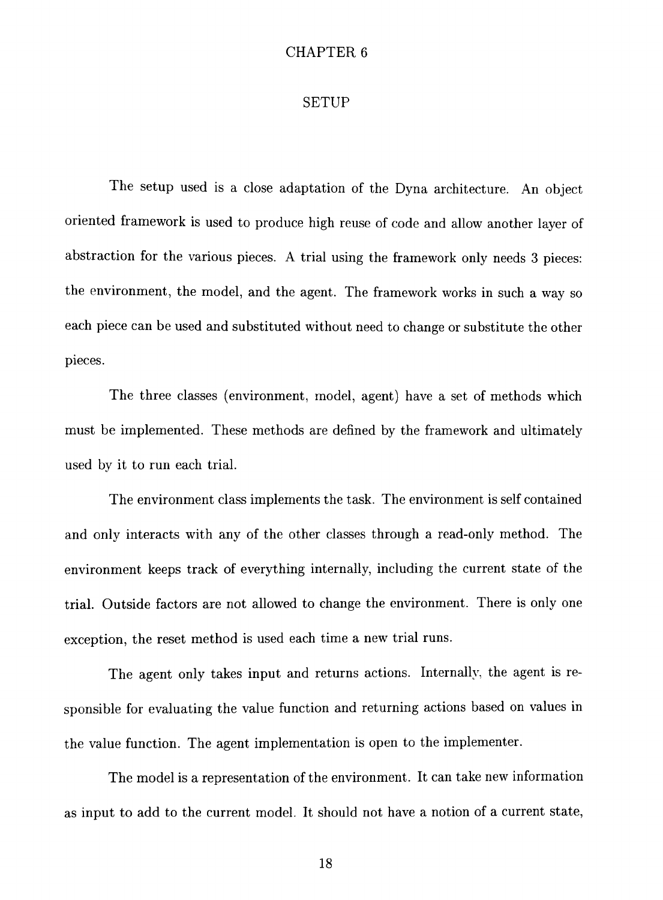#### SETUP

The setup used is a close adaptation of the Dyna architecture. An object oriented framework is used to produce high reuse of code and allow another layer of abstraction for the various pieces. A trial using the framework only needs 3 pieces: the environment, the model, and the agent. The framework works in such a way so each piece can be used and substituted without need to change or substitute the other pieces.

The three classes (environment, model, agent) have a set of methods which must be implemented. These methods are defined by the framework and ultimately used by it to run each trial.

The environment class implements the task. The environment is self contained and only interacts with any of the other classes through a read-only method. The environment keeps track of everything internally, including the current state of the trial. Outside factors are not allowed to change the environment. There is only one exception, the reset method is used each time a new trial runs.

The agent only takes input and returns actions. Internally, the agent is responsible for evaluating the value function and returning actions based on values in the value function. The agent implementation is open to the implementer.

The model is a representation of the environment. It can take new information as input to add to the current model. It should not have a notion of a current state,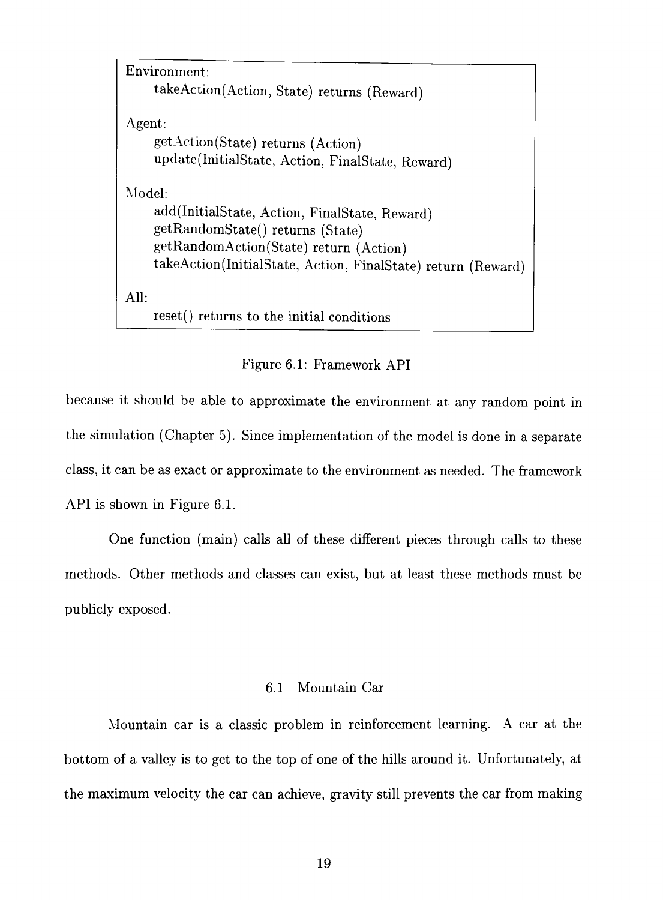```
Environment: 
    takeAction(Action, State) returns (Reward) 
Agent: 
    get Action (State) returns (Action) 
    update(InitialState, Action, FinalState, Reward) 
Model: 
    add(InitialState, Action, FinalState, Reward) 
    getRandomState() returns (State) 
    getRandomAction(State) return (Action) 
    takeAction(InitialState, Action, FinalState) return (Reward) 
AU: 
    reset() returns to the initial conditions
```
#### Figure 6.1: Framework API

because it should be able to approximate the environment at any random point in the simulation (Chapter 5). Since implementation of the model is done in a separate class, it can be as exact or approximate to the environment as needed. The framework API is shown in Figure 6.1.

One function (main) calls all of these different pieces through calls to these methods. Other methods and classes can exist, but at least these methods must be publicly exposed.

### 6.1 Mountain Car

Mountain car is a classic problem in reinforcement learning. A car at the bottom of a valley is to get to the top of one of the hills around it. Unfortunately, at the maximum velocity the car can achieve, gravity still prevents the car from making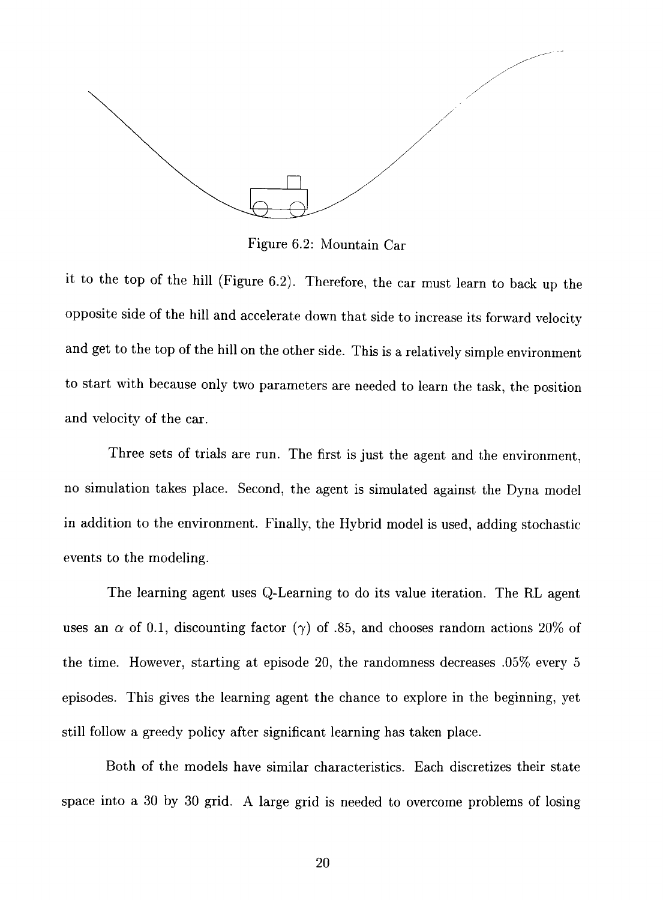

Figure 6.2: Mountain Car

it to the top of the hill (Figure 6.2). Therefore, the car must learn to back up the opposite side of the hill and accelerate down that side to increase its forward velocity and get to the top of the hill on the other side. This is a relatively simple environment to start with because only two parameters are needed to learn the task, the position and velocity of the car.

Three sets of trials are run. The first is just the agent and the environment, no simulation takes place. Second, the agent is simulated against the Dyna model in addition to the environment. Finally, the Hybrid model is used, adding stochastic events to the modeling.

The learning agent uses Q-Learning to do its value iteration. The RL agent uses an  $\alpha$  of 0.1, discounting factor ( $\gamma$ ) of .85, and chooses random actions 20% of the time. However, starting at episode 20, the randomness decreases .05% every 5 episodes. This gives the learning agent the chance to explore in the beginning, yet still follow a greedy policy after significant learning has taken place.

Both of the models have similar characteristics. Each discretizes their state space into a 30 by 30 grid. A large grid is needed to overcome problems of losing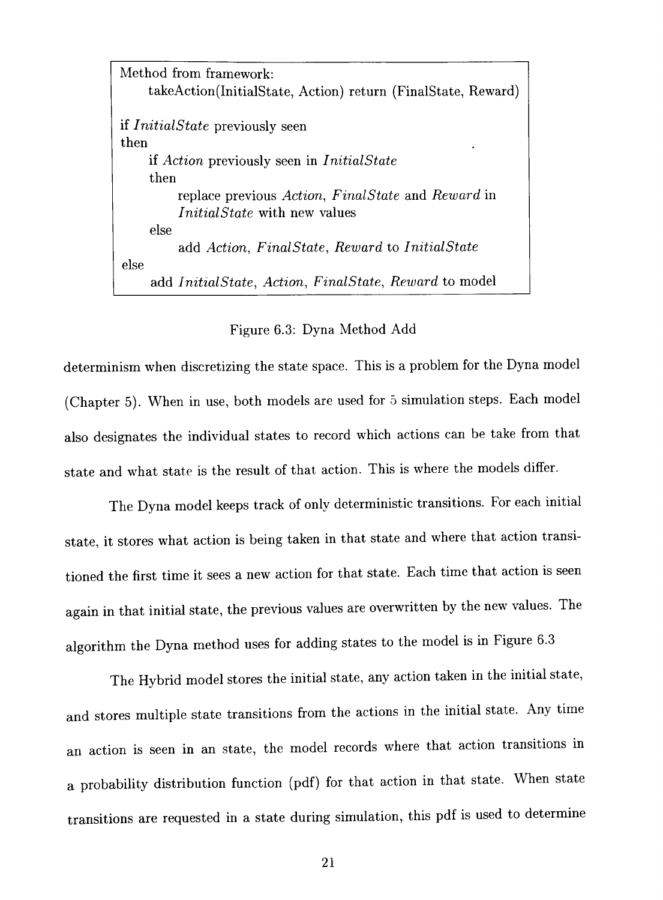Method from framework: takeAction(InitialState, Action) return (FinalState, Reward) if *InitialState* previously seen then if *Action* previously seen in *InitialState*  then replace previous *Action, FinalState* and *Reward* in *InitialState* with new values else add *Action, FinalState, Reward* to *InitialState*  else add *InitialState, Action, FinalState, Reward* to model

#### Figure 6.3: Dyna Method Add

determinism when discretizing the state space. This is a problem for the Dyna model (Chapter 5). When in use, both models are used for 5 simulation steps. Each model also designates the individual states to record which actions can be take from that state and what state is the result of that action. This is where the models differ.

The Dyna model keeps track of only deterministic transitions. For each initial state, it stores what action is being taken in that state and where that action transitioned the first time it sees a new action for that state. Each time that action is seen again in that initial state, the previous values are overwritten by the new values. The algorithm the Dyna method uses for adding states to the model is in Figure 6.3

The Hybrid model stores the initial state, any action taken in the initial state, and stores multiple state transitions from the actions in the inftial state. Any time an action is seen in an state, the model records where that action transftions in a probability distribution function (pdf) for that action in that state. When state transitions are requested in a state during simulation, this pdf is used to determine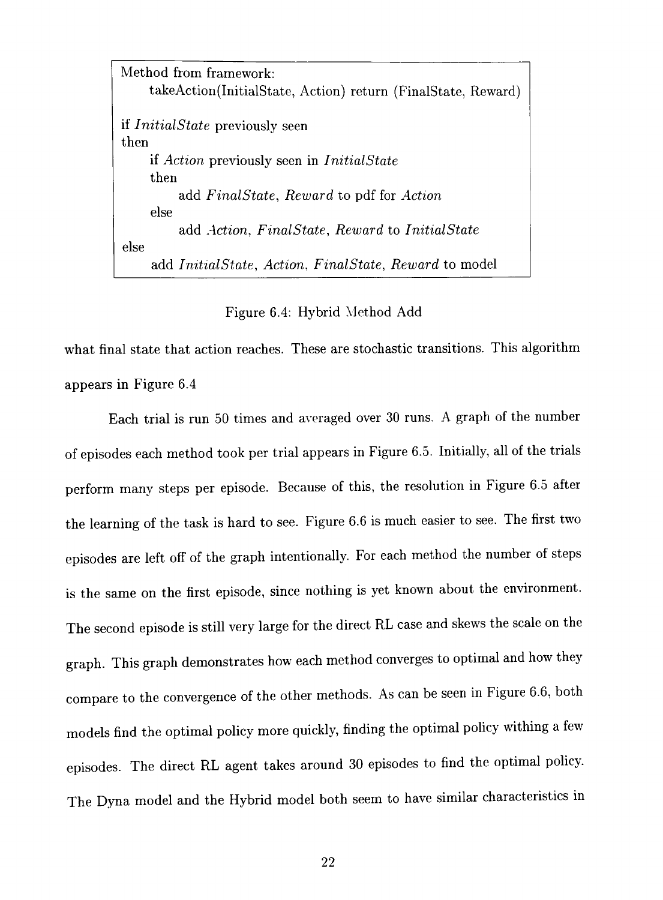Method from framework: takeAction(InitialState, Action) return (FinalState, Reward) if *InitialState* previously seen then if *Action* previously seen in *InitialState*  then add *FinalState, Reward* to pdf for *Action*  else add *Action, FinalState, Reward* to *InitialState*  else add *InitialState, Action, FinalState, Reward* to model

Figure 6.4: Hybrid Method Add

what final state that action reaches. These are stochastic transitions. This algorithm appears in Figure 6.4

Each trial is run 50 times and averaged over 30 runs. A graph of the number of episodes each method took per trial appears in Figure 6.5. Inftially, aU of the trials perform many steps per episode. Because of this, the resolution in Figure 6.5 after the learning of the task is hard to see. Figure 6.6 is much easier to see. The first two episodes are left off of the graph intentionally. For each method the number of steps is the same on the first episode, since nothing is yet known about the environment. The second episode is still very large for the direct RL case and skews the scale on the graph. This graph demonstrates how each method converges to optimal and how they compare to the convergence of the other methods. As can be seen in Figure 6.6, both models find the optimal policy more quickly, finding the optimal policy withing a few episodes. The direct RL agent takes around 30 episodes to find the optimal policy. The Dyna model and the Hybrid model both seem to have similar characteristics in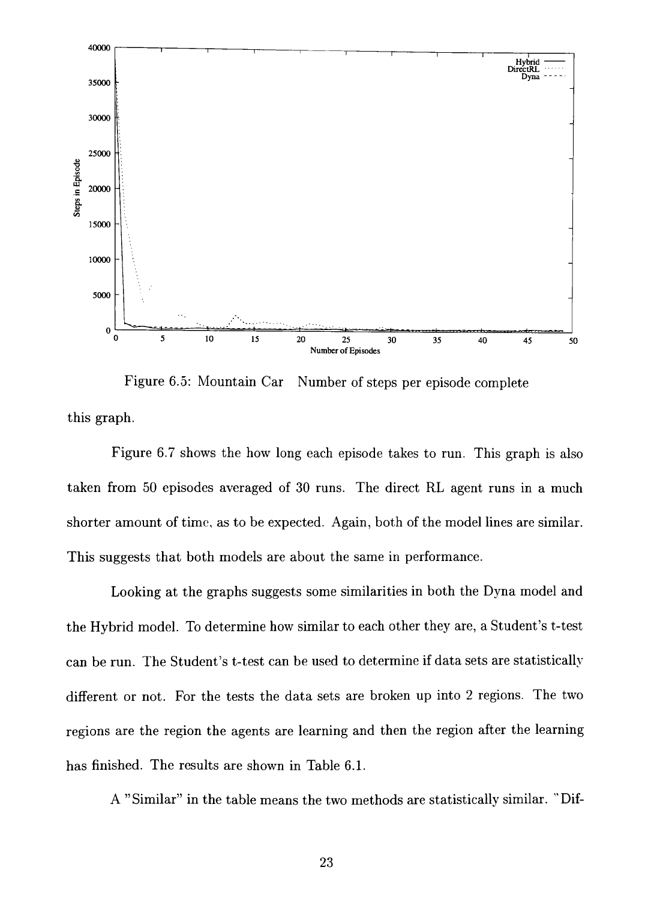

Figure 6.5: Mountain Car Number of steps per episode complete this graph.

Figure 6.7 shows the how long each episode takes to run. This graph is also taken from 50 episodes averaged of 30 runs. The direct RL agent runs in a much shorter amount of time, as to be expected. Again, both of the model lines are similar. This suggests that both models are about the same in performance.

Looking at the graphs suggests some similarities in both the Dyna model and the Hybrid model. To determine how similar to each other they are, a Student's t-test can be run. The Student's t-test can be used to determine if data sets are statistically different or not. For the tests the data sets are broken up into 2 regions. The two regions are the region the agents are learning and then the region after the learning has finished. The results are shown in Table 6.1.

A "Similar" in the table means the two methods are statistically similar. "Dif-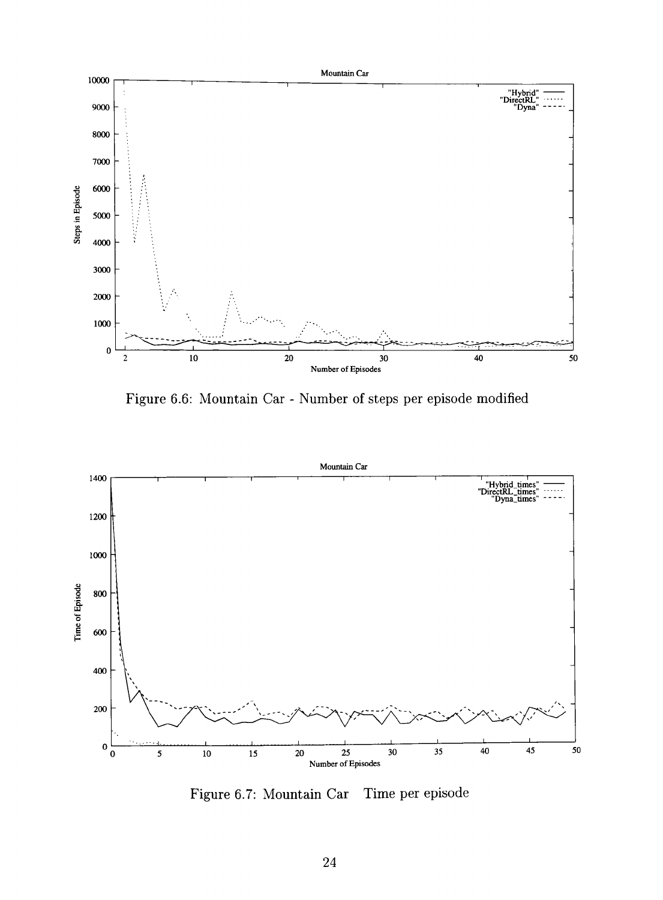

Figure 6.6: Mountain Car - Number of steps per episode modified



Figure 6.7: Mountain Car Time per episode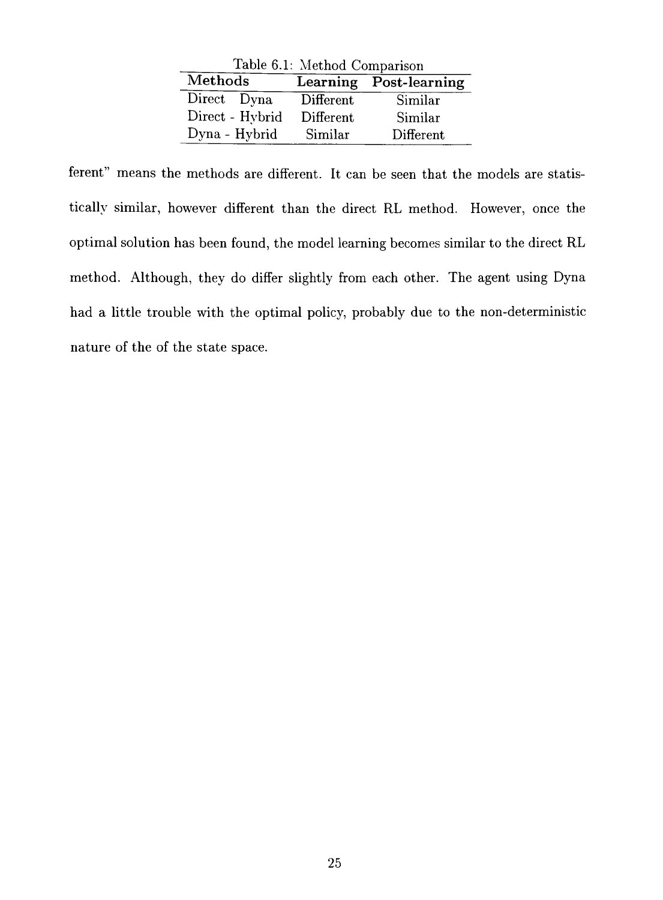| Table 6.1: Method Comparison |           |                        |  |  |
|------------------------------|-----------|------------------------|--|--|
| Methods                      |           | Learning Post-learning |  |  |
| Direct Dyna                  | Different | Similar                |  |  |
| Direct - Hybrid              | Different | Similar                |  |  |
| Dyna - Hybrid                | Similar   | Different              |  |  |

ferent" means the methods are different. It can be seen that the models are statistically similar, however different than the direct RL method. However, once the optimal solution has been found, the model learning becomes similar to the direct RL method. Although, they do differ slightly from each other. The agent using Dyna had a little trouble with the optimal policy, probably due to the non-deterministic nature of the of the state space.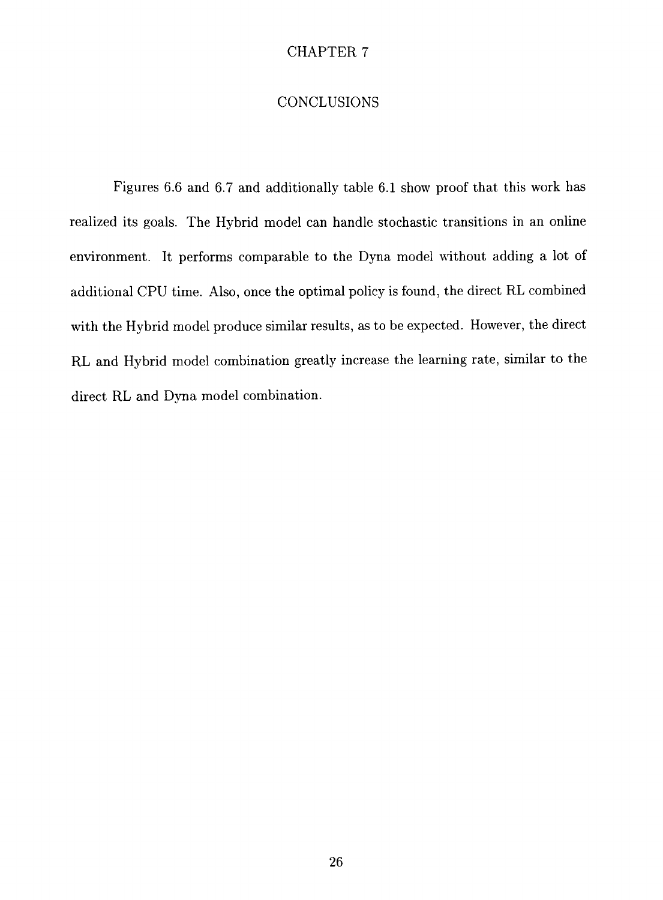## **CONCLUSIONS**

Figures 6.6 and 6.7 and additionally table 6.1 show proof that this work has realized its goals. The Hybrid model can handle stochastic transitions in an online environment. It performs comparable to the Dyna model without adding a lot of additional CPU time. Also, once the optimal policy is found, the direct RL combined with the Hybrid model produce similar results, as to be expected. However, the direct RL and Hybrid model combination greatly increase the learning rate, similar to the direct RL and Dvna model combination.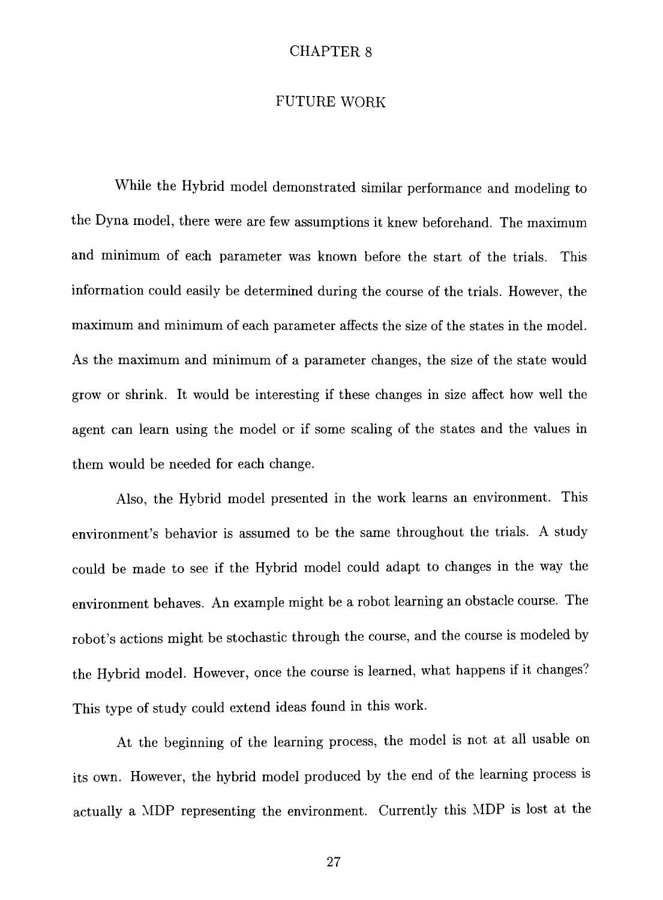### FUTURE WORK

While the Hybrid model demonstrated similar performance and modeling to the Dyna model, there were are few assumptions it knew beforehand. The maximum and minimum of each parameter was known before the start of the trials. This information could easily be determined during the course of the trials. However, the maximum and minimum of each parameter affects the size of the states in the model. As the maximum and minimum of a parameter changes, the size of the state would grow or shrink. It would be interesting if these changes in size affect how well the agent can learn using the model or if some scaling of the states and the values in them would be needed for each change.

Also, the Hybrid model presented in the work learns an environment. This environment's behavior is assumed to be the same throughout the trials. A study could be made to see if the Hybrid model could adapt to changes in the way the environment behaves. An example might be a robot learning an obstacle course. The robot's actions might be stochastic through the course, and the course is modeled by the Hybrid model. However, once the course is learned, what happens if it changes? This type of study could extend ideas found in this work.

At the beginning of the learning process, the model is not at all usable on its own. However, the hybrid model produced by the end of the learning process is actually a MDP representing the environment. Currently this MDP is lost at the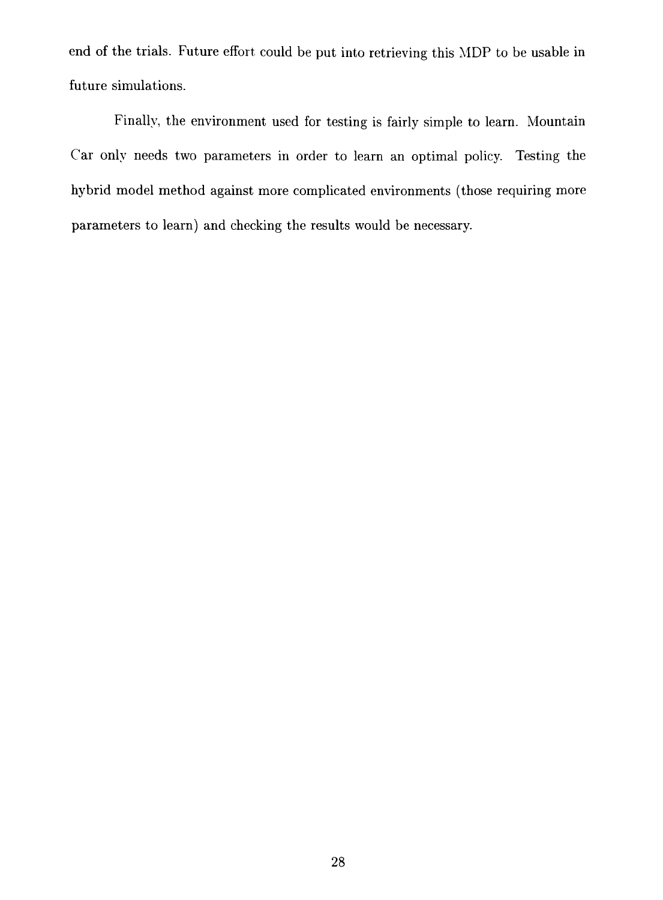end of the trials. Future effort could be put into retrieving this MDP to be usable in future simulations.

Finally, the environment used for testing is fairly simple to learn. Mountain Car only needs two parameters in order to learn an optimal policy. Testing the hybrid model method against more complicated environments (those requiring more parameters to learn) and checking the results would be necessary.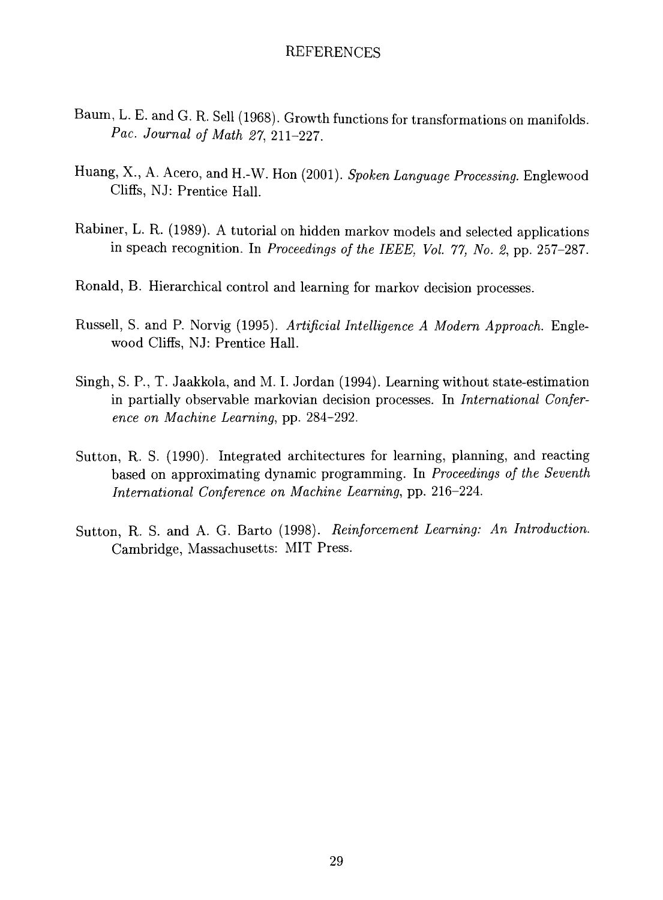### REFERENCES

- Baum, L. E. and G. R. Sell (1968). Growth functions for transformations on manifolds. *Pac. Journal of Math 27,* 211-227.
- Huang, X., A. Acero, and H.-W. Hon (2001). Spoken Language Processing. Englewood Cliffs, NJ: Prentice Hall.
- Rabiner, L. R. (1989). A tutorial on hidden markov models and selected applications in speach recognition. In *Proceedings of the IEEE, Vol. 77, No. 2,* pp. 257-287.
- Ronald, B. Hierarchical control and learning for markov decision processes.
- Russell, S. and P. Norvig (1995). Artificial Intelligence A Modern Approach. Englewood Cliffs, NJ: Prentice Hall.
- Singh, S. P., T. Jaakkola, and M. I. Jordan (1994). Learning without state-estimation in partially observable markovian decision processes. In *International Conference on Machine Learning,* pp. 284-292.
- Sutton, R. S. (1990). Integrated architectures for learning, planning, and reacting based on approximating dynamic programming. In *Proceedings of the Seventh International Conference on Machine Learning,* pp. 216-224.
- Sutton, R. S. and A. G. Barto (1998). *Reinforcement Learning: An Introduction.*  Cambridge, Massachusetts: MIT Press.